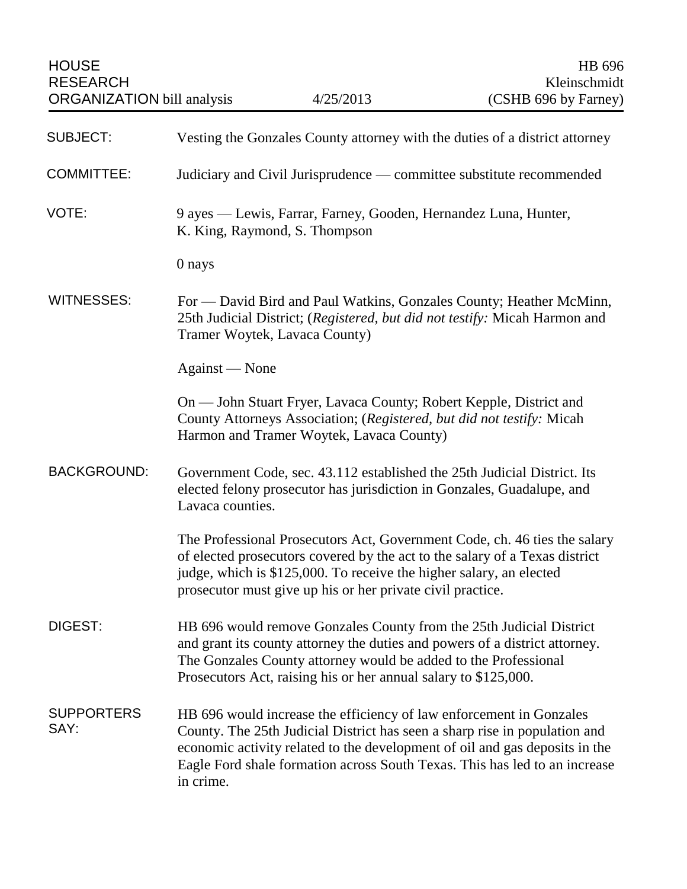| <b>SUBJECT:</b>           | Vesting the Gonzales County attorney with the duties of a district attorney                                                                                                                                                                                                                                                 |
|---------------------------|-----------------------------------------------------------------------------------------------------------------------------------------------------------------------------------------------------------------------------------------------------------------------------------------------------------------------------|
| <b>COMMITTEE:</b>         | Judiciary and Civil Jurisprudence — committee substitute recommended                                                                                                                                                                                                                                                        |
| VOTE:                     | 9 ayes — Lewis, Farrar, Farney, Gooden, Hernandez Luna, Hunter,<br>K. King, Raymond, S. Thompson                                                                                                                                                                                                                            |
|                           | 0 nays                                                                                                                                                                                                                                                                                                                      |
| <b>WITNESSES:</b>         | For — David Bird and Paul Watkins, Gonzales County; Heather McMinn,<br>25th Judicial District; (Registered, but did not testify: Micah Harmon and<br>Tramer Woytek, Lavaca County)                                                                                                                                          |
|                           | Against — None                                                                                                                                                                                                                                                                                                              |
|                           | On — John Stuart Fryer, Lavaca County; Robert Kepple, District and<br>County Attorneys Association; (Registered, but did not testify: Micah<br>Harmon and Tramer Woytek, Lavaca County)                                                                                                                                     |
| <b>BACKGROUND:</b>        | Government Code, sec. 43.112 established the 25th Judicial District. Its<br>elected felony prosecutor has jurisdiction in Gonzales, Guadalupe, and<br>Lavaca counties.                                                                                                                                                      |
|                           | The Professional Prosecutors Act, Government Code, ch. 46 ties the salary<br>of elected prosecutors covered by the act to the salary of a Texas district<br>judge, which is \$125,000. To receive the higher salary, an elected<br>prosecutor must give up his or her private civil practice.                               |
| <b>DIGEST:</b>            | HB 696 would remove Gonzales County from the 25th Judicial District<br>and grant its county attorney the duties and powers of a district attorney.<br>The Gonzales County attorney would be added to the Professional<br>Prosecutors Act, raising his or her annual salary to \$125,000.                                    |
| <b>SUPPORTERS</b><br>SAY: | HB 696 would increase the efficiency of law enforcement in Gonzales<br>County. The 25th Judicial District has seen a sharp rise in population and<br>economic activity related to the development of oil and gas deposits in the<br>Eagle Ford shale formation across South Texas. This has led to an increase<br>in crime. |